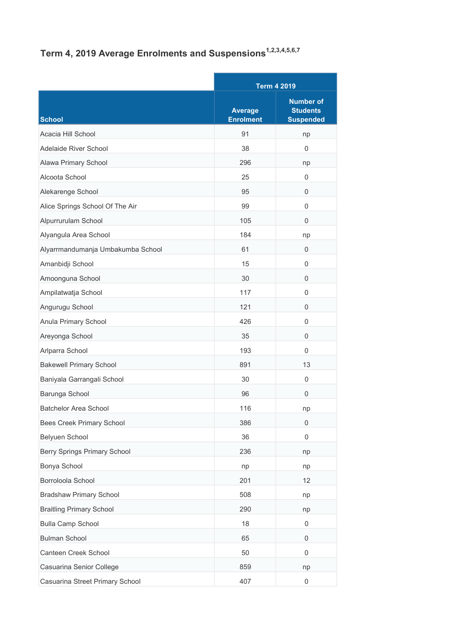## Term 4, 2019 Average Enrolments and Suspensions<sup>1,2,3,4,5,6,7</sup>

|                                     |                                    | <b>Term 4 2019</b>                                      |  |
|-------------------------------------|------------------------------------|---------------------------------------------------------|--|
| School                              | <b>Average</b><br><b>Enrolment</b> | <b>Number of</b><br><b>Students</b><br><b>Suspended</b> |  |
| Acacia Hill School                  | 91                                 | np                                                      |  |
| Adelaide River School               | 38                                 | $\Omega$                                                |  |
| Alawa Primary School                | 296                                | np                                                      |  |
| Alcoota School                      | 25                                 | 0                                                       |  |
| Alekarenge School                   | 95                                 | 0                                                       |  |
| Alice Springs School Of The Air     | 99                                 | 0                                                       |  |
| Alpurrurulam School                 | 105                                | 0                                                       |  |
| Alyangula Area School               | 184                                | np                                                      |  |
| Alyarrmandumanja Umbakumba School   | 61                                 | 0                                                       |  |
| Amanbidji School                    | 15                                 | 0                                                       |  |
| Amoonguna School                    | 30                                 | 0                                                       |  |
| Ampilatwatja School                 | 117                                | 0                                                       |  |
| Angurugu School                     | 121                                | 0                                                       |  |
| Anula Primary School                | 426                                | 0                                                       |  |
| Areyonga School                     | 35                                 | 0                                                       |  |
| Arlparra School                     | 193                                | 0                                                       |  |
| <b>Bakewell Primary School</b>      | 891                                | 13                                                      |  |
| Baniyala Garrangali School          | 30                                 | 0                                                       |  |
| Barunga School                      | 96                                 | $\Omega$                                                |  |
| <b>Batchelor Area School</b>        | 116                                | np                                                      |  |
| Bees Creek Primary School           | 386                                | 0                                                       |  |
| Belyuen School                      | 36                                 | 0                                                       |  |
| <b>Berry Springs Primary School</b> | 236                                | np                                                      |  |
| Bonya School                        | np                                 | np                                                      |  |
| Borroloola School                   | 201                                | 12                                                      |  |
| <b>Bradshaw Primary School</b>      | 508                                | np                                                      |  |
| <b>Braitling Primary School</b>     | 290                                | np                                                      |  |
| <b>Bulla Camp School</b>            | 18                                 | 0                                                       |  |
| <b>Bulman School</b>                | 65                                 | 0                                                       |  |
| Canteen Creek School                | 50                                 | $\mathbf 0$                                             |  |
| Casuarina Senior College            | 859                                | np                                                      |  |
| Casuarina Street Primary School     | 407                                | 0                                                       |  |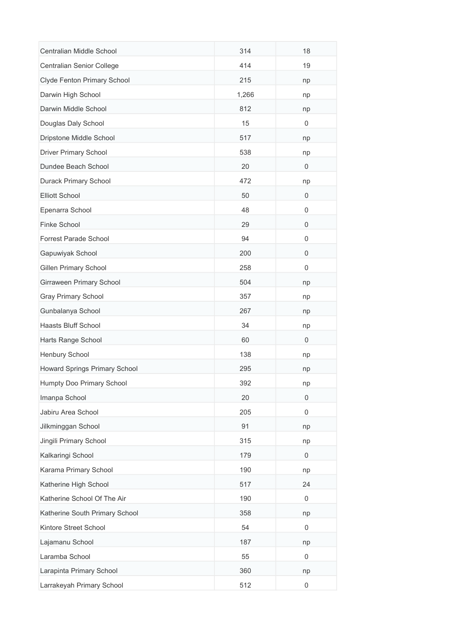| Centralian Middle School       | 314   | 18               |
|--------------------------------|-------|------------------|
| Centralian Senior College      | 414   | 19               |
| Clyde Fenton Primary School    | 215   | np               |
| Darwin High School             | 1,266 | np               |
| Darwin Middle School           | 812   | np               |
| Douglas Daly School            | 15    | 0                |
| Dripstone Middle School        | 517   | np               |
| <b>Driver Primary School</b>   | 538   | np               |
| Dundee Beach School            | 20    | 0                |
| Durack Primary School          | 472   | np               |
| <b>Elliott School</b>          | 50    | 0                |
| Epenarra School                | 48    | 0                |
| Finke School                   | 29    | $\mathbf 0$      |
| <b>Forrest Parade School</b>   | 94    | 0                |
| Gapuwiyak School               | 200   | 0                |
| <b>Gillen Primary School</b>   | 258   | $\mathbf 0$      |
| Girraween Primary School       | 504   | np               |
| Gray Primary School            | 357   | np               |
| Gunbalanya School              | 267   | np               |
| Haasts Bluff School            | 34    | np               |
| Harts Range School             | 60    | 0                |
| Henbury School                 | 138   | np               |
| Howard Springs Primary School  | 295   | np               |
| Humpty Doo Primary School      | 392   | np               |
| Imanpa School                  | 20    | 0                |
| Jabiru Area School             | 205   | $\mathbf 0$      |
| Jilkminggan School             | 91    | np               |
| Jingili Primary School         | 315   | np               |
| Kalkaringi School              | 179   | 0                |
| Karama Primary School          | 190   | np               |
| Katherine High School          | 517   | 24               |
| Katherine School Of The Air    | 190   | 0                |
| Katherine South Primary School | 358   | np               |
| Kintore Street School          | 54    | 0                |
| Lajamanu School                | 187   | np               |
| Laramba School                 | 55    | 0                |
| Larapinta Primary School       | 360   | np               |
| Larrakeyah Primary School      | 512   | $\boldsymbol{0}$ |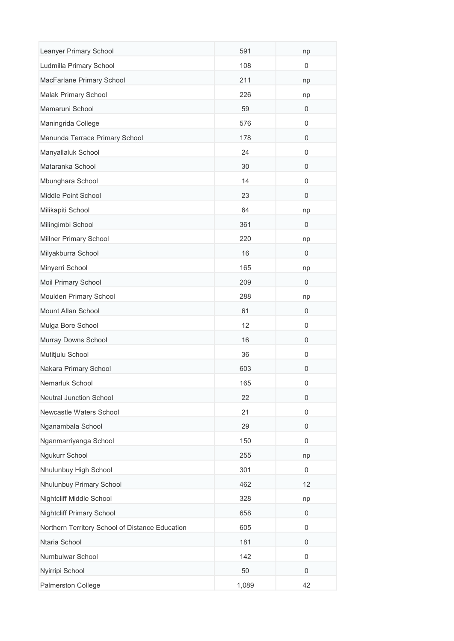| Leanyer Primary School                          | 591   | np          |
|-------------------------------------------------|-------|-------------|
| Ludmilla Primary School                         | 108   | 0           |
| MacFarlane Primary School                       | 211   | np          |
| <b>Malak Primary School</b>                     | 226   | np          |
| Mamaruni School                                 | 59    | 0           |
| Maningrida College                              | 576   | 0           |
| Manunda Terrace Primary School                  | 178   | 0           |
| Manyallaluk School                              | 24    | 0           |
| Mataranka School                                | 30    | 0           |
| Mbunghara School                                | 14    | 0           |
| Middle Point School                             | 23    | 0           |
| Milikapiti School                               | 64    | np          |
| Milingimbi School                               | 361   | $\mathbf 0$ |
| Millner Primary School                          | 220   | np          |
| Milyakburra School                              | 16    | 0           |
| Minyerri School                                 | 165   | np          |
| Moil Primary School                             | 209   | $\mathbf 0$ |
| Moulden Primary School                          | 288   | np          |
| Mount Allan School                              | 61    | 0           |
| Mulga Bore School                               | 12    | 0           |
| Murray Downs School                             | 16    | 0           |
| Mutitjulu School                                | 36    | $\mathbf 0$ |
| Nakara Primary School                           | 603   | 0           |
| Nemarluk School                                 | 165   | 0           |
| Neutral Junction School                         | 22    | 0           |
| Newcastle Waters School                         | 21    | 0           |
| Nganambala School                               | 29    | 0           |
| Nganmarriyanga School                           | 150   | $\mathbf 0$ |
| Ngukurr School                                  | 255   | np          |
| Nhulunbuy High School                           | 301   | 0           |
| Nhulunbuy Primary School                        | 462   | 12          |
| Nightcliff Middle School                        | 328   | np          |
| <b>Nightcliff Primary School</b>                | 658   | 0           |
| Northern Territory School of Distance Education | 605   | 0           |
| Ntaria School                                   | 181   | 0           |
| Numbulwar School                                | 142   | 0           |
| Nyirripi School                                 | 50    | 0           |
| Palmerston College                              | 1,089 | 42          |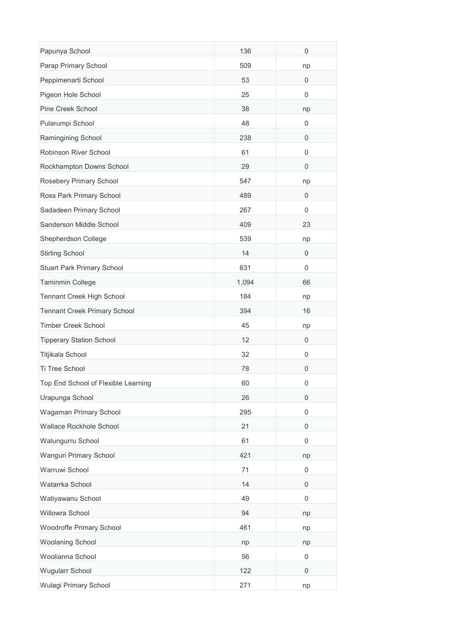| Papunya School                      | 136   | 0           |
|-------------------------------------|-------|-------------|
| Parap Primary School                | 509   | np          |
| Peppimenarti School                 | 53    | 0           |
| Pigeon Hole School                  | 25    | 0           |
| Pine Creek School                   | 38    | np          |
| Pularumpi School                    | 48    | 0           |
| Ramingining School                  | 238   | 0           |
| Robinson River School               | 61    | $\mathbf 0$ |
| Rockhampton Downs School            | 29    | 0           |
| Rosebery Primary School             | 547   | np          |
| Ross Park Primary School            | 489   | 0           |
| Sadadeen Primary School             | 267   | 0           |
| Sanderson Middle School             | 409   | 23          |
| Shepherdson College                 | 539   | np          |
| <b>Stirling School</b>              | 14    | 0           |
| <b>Stuart Park Primary School</b>   | 631   | $\mathbf 0$ |
| Taminmin College                    | 1,094 | 66          |
| Tennant Creek High School           | 184   | np          |
| <b>Tennant Creek Primary School</b> | 394   | 16          |
| <b>Timber Creek School</b>          | 45    | np          |
| <b>Tipperary Station School</b>     | 12    | 0           |
| Titjikala School                    | 32    | 0           |
| Ti Tree School                      | 78    | 0           |
| Top End School of Flexible Learning | 60    | 0           |
| Urapunga School                     | 26    | 0           |
| Wagaman Primary School              | 295   | $\mathbf 0$ |
| Wallace Rockhole School             | 21    | 0           |
| Walungurru School                   | 61    | $\mathbf 0$ |
| Wanguri Primary School              | 421   | np          |
| Warruwi School                      | 71    | 0           |
| Watarrka School                     | 14    | $\mathbf 0$ |
| Watiyawanu School                   | 49    | 0           |
| Willowra School                     | 94    | np          |
| Woodroffe Primary School            | 461   | np          |
| Woolaning School                    | np    | np          |
| Woolianna School                    | 56    | 0           |
| Wugularr School                     | 122   | 0           |
| Wulagi Primary School               | 271   | np          |